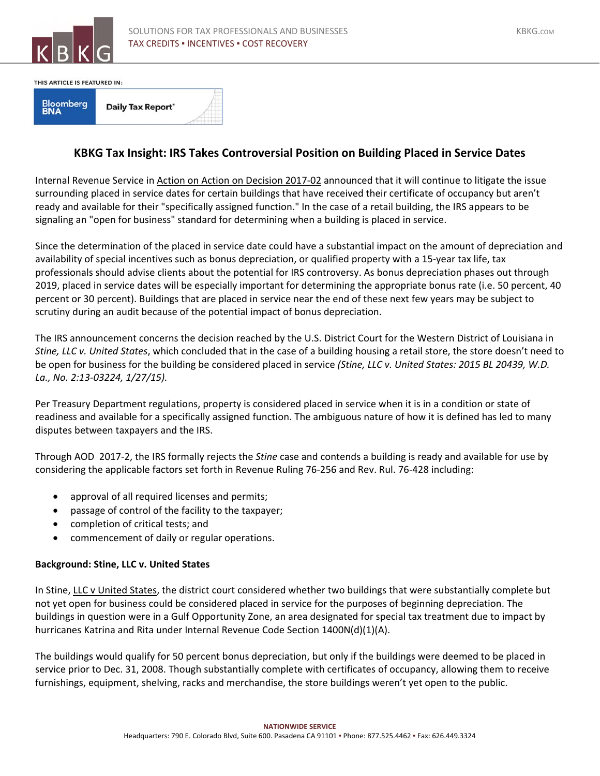

THIS ARTICLE IS FEATURED IN:

| <b>Bloomberg</b><br><b>BNA</b> | <b>Daily Tax Report'</b> |  |  |  |
|--------------------------------|--------------------------|--|--|--|
|--------------------------------|--------------------------|--|--|--|

## **KBKG Tax Insight: IRS Takes Controversial Position on Building Placed in Service Dates**

Internal Revenue Service in Action on Action on Decision 2017‐02 announced that it will continue to litigate the issue surrounding placed in service dates for certain buildings that have received their certificate of occupancy but aren't ready and available for their "specifically assigned function." In the case of a retail building, the IRS appears to be signaling an "open for business" standard for determining when a building is placed in service.

Since the determination of the placed in service date could have a substantial impact on the amount of depreciation and availability of special incentives such as bonus depreciation, or qualified property with a 15‐year tax life, tax professionals should advise clients about the potential for IRS controversy. As bonus depreciation phases out through 2019, placed in service dates will be especially important for determining the appropriate bonus rate (i.e. 50 percent, 40 percent or 30 percent). Buildings that are placed in service near the end of these next few years may be subject to scrutiny during an audit because of the potential impact of bonus depreciation.

The IRS announcement concerns the decision reached by the U.S. District Court for the Western District of Louisiana in *Stine, LLC v. United States*, which concluded that in the case of a building housing a retail store, the store doesn't need to be open for business for the building be considered placed in service *(Stine, LLC v. United States: 2015 BL 20439, W.D. La., No. 2:13‐03224, 1/27/15).*

Per Treasury Department regulations, property is considered placed in service when it is in a condition or state of readiness and available for a specifically assigned function. The ambiguous nature of how it is defined has led to many disputes between taxpayers and the IRS.

Through AOD 2017‐2, the IRS formally rejects the *Stine* case and contends a building is ready and available for use by considering the applicable factors set forth in Revenue Ruling 76‐256 and Rev. Rul. 76‐428 including:

- approval of all required licenses and permits;
- passage of control of the facility to the taxpayer;
- completion of critical tests; and
- commencement of daily or regular operations.

## **Background: Stine, LLC v. United States**

In Stine, LLC v United States, the district court considered whether two buildings that were substantially complete but not yet open for business could be considered placed in service for the purposes of beginning depreciation. The buildings in question were in a Gulf Opportunity Zone, an area designated for special tax treatment due to impact by hurricanes Katrina and Rita under Internal Revenue Code Section 1400N(d)(1)(A).

The buildings would qualify for 50 percent bonus depreciation, but only if the buildings were deemed to be placed in service prior to Dec. 31, 2008. Though substantially complete with certificates of occupancy, allowing them to receive furnishings, equipment, shelving, racks and merchandise, the store buildings weren't yet open to the public.